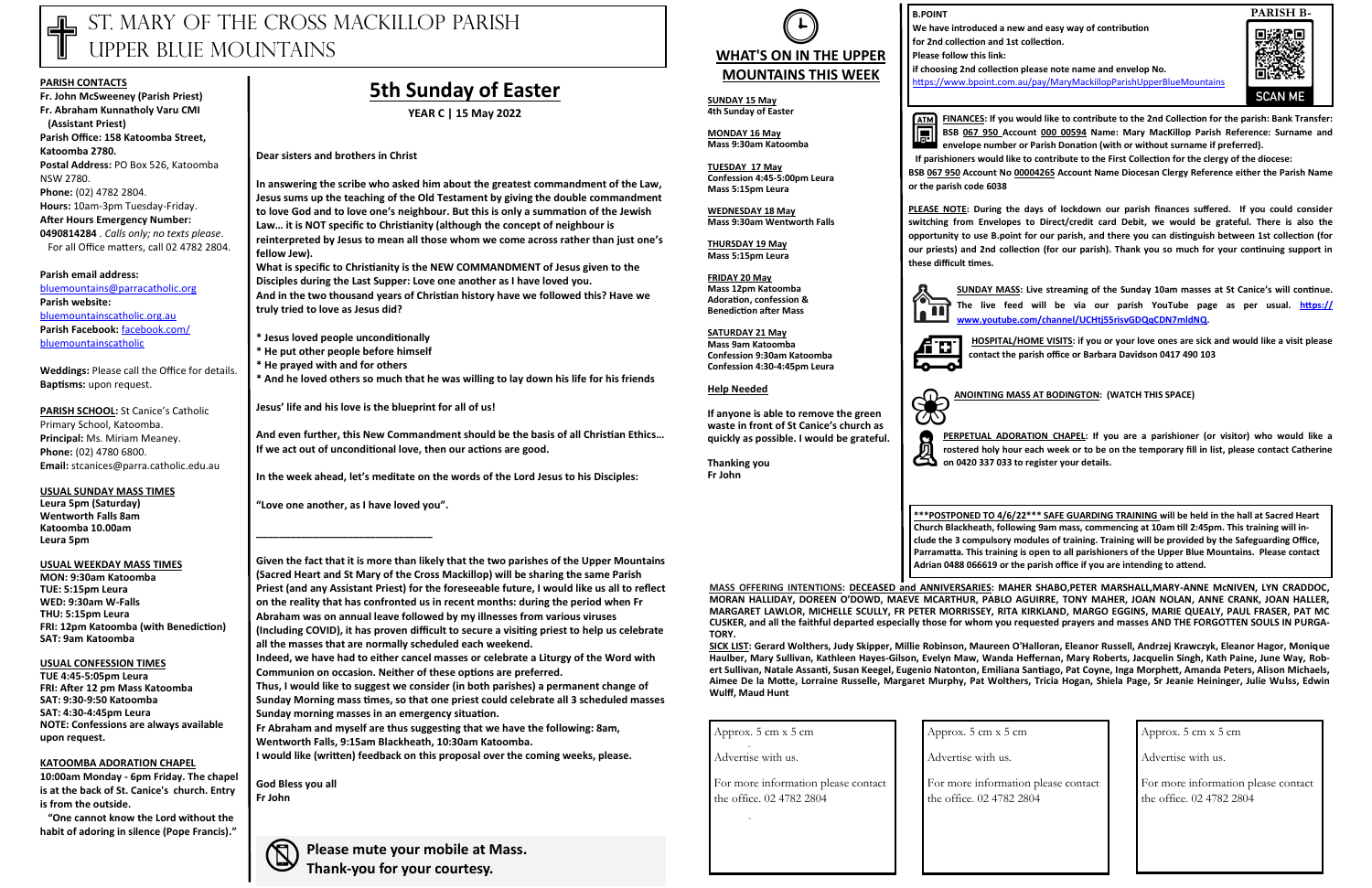# ST. MARY OF THE CROSS MACKILLOP PARISH UPPER BLUE MOUNTAINS

#### **PARISH CONTACTS**

**Fr. John McSweeney (Parish Priest) Fr. Abraham Kunnatholy Varu CMI (Assistant Priest) Parish Office: 158 Katoomba Street, Katoomba 2780. Postal Address:** PO Box 526, Katoomba NSW 2780. **Phone:** (02) 4782 2804. **Hours:** 10am-3pm Tuesday-Friday. **After Hours Emergency Number: 0490814284** . *Calls only; no texts please*. For all Office matters, call 02 4782 2804.

**PARISH SCHOOL:** St Canice's Catholic Primary School, Katoomba. **Principal:** Ms. Miriam Meaney. **Phone:** (02) 4780 6800. **Email:** stcanices@parra.catholic.edu.au

#### **Parish email address:**

[bluemountains@parracatholic.org](mailto:bluemountains@parracatholic.org) **Parish website:** [bluemountainscatholic.org.au](http://www.bluemountainscatholic.org.au) **Parish Facebook:** [facebook.com/](http://www.facebook.com/bluemountainscatholic) [bluemountainscatholic](http://www.facebook.com/bluemountainscatholic) 

**Weddings:** Please call the Office for details. **Baptisms:** upon request.

**USUAL SUNDAY MASS TIMES Leura 5pm (Saturday) Wentworth Falls 8am Katoomba 10.00am Leura 5pm** 

**USUAL WEEKDAY MASS TIMES MON: 9:30am Katoomba TUE: 5:15pm Leura WED: 9:30am W-Falls THU: 5:15pm Leura FRI: 12pm Katoomba (with Benediction) SAT: 9am Katoomba**

**USUAL CONFESSION TIMES TUE 4:45-5:05pm Leura**

**FRI: After 12 pm Mass Katoomba SAT: 9:30-9:50 Katoomba SAT: 4:30-4:45pm Leura NOTE: Confessions are always available upon request.**

#### **KATOOMBA ADORATION CHAPEL**

**10:00am Monday - 6pm Friday. The chapel is at the back of St. Canice's church. Entry is from the outside.**

 **"One cannot know the Lord without the habit of adoring in silence (Pope Francis)."**

## **5th Sunday of Easter**

**YEAR C | 15 May 2022**

**Dear sisters and brothers in Christ**

**In answering the scribe who asked him about the greatest commandment of the Law, Jesus sums up the teaching of the Old Testament by giving the double commandment to love God and to love one's neighbour. But this is only a summation of the Jewish Law… it is NOT specific to Christianity (although the concept of neighbour is reinterpreted by Jesus to mean all those whom we come across rather than just one's fellow Jew).**

**What is specific to Christianity is the NEW COMMANDMENT of Jesus given to the Disciples during the Last Supper: Love one another as I have loved you. And in the two thousand years of Christian history have we followed this? Have we truly tried to love as Jesus did?**

- **\* Jesus loved people unconditionally**
- **\* He put other people before himself**
- **\* He prayed with and for others**
- **\* And he loved others so much that he was willing to lay down his life for his friends**

**Jesus' life and his love is the blueprint for all of us!**

**And even further, this New Commandment should be the basis of all Christian Ethics… If we act out of unconditional love, then our actions are good.**

**SUNDAY MASS:** Live streaming of the Sunday 10am masses at St Canice's will continue.<br>
The live feed will be via our parish YouTube page as per usual. **https://**<br>
www.youtube.com/channel/UCHti55risvGDQqCDN7mldNQ. **The live feed will be via our parish YouTube page as per usual. [https://](https://apac01.safelinks.protection.outlook.com/?url=https%3A%2F%2Fwww.youtube.com%2Fchannel%2FUCHtj55risvGDQqCDN7mldNQ&data=04%7C01%7C%7Cad1945e953774494d3e808d993528608%7C84df9e7fe9f640afb435aaaaaaaaaaaa%7C1%7C0%7C637702804933242043%7CUnknown%7CTWFpbGZsb3d8) [www.youtube.com/channel/UCHtj55risvGDQqCDN7mldNQ.](https://apac01.safelinks.protection.outlook.com/?url=https%3A%2F%2Fwww.youtube.com%2Fchannel%2FUCHtj55risvGDQqCDN7mldNQ&data=04%7C01%7C%7Cad1945e953774494d3e808d993528608%7C84df9e7fe9f640afb435aaaaaaaaaaaa%7C1%7C0%7C637702804933242043%7CUnknown%7CTWFpbGZsb3d8)**

**In the week ahead, let's meditate on the words of the Lord Jesus to his Disciples:**

HOSPITAL/HOME VISITS: if you or your love ones are sick and would like a visit please **contact the parish office or Barbara Davidson 0417 490 103** 

**"Love one another, as I have loved you".**

**\_\_\_\_\_\_\_\_\_\_\_\_\_\_\_\_\_\_\_\_\_\_\_\_\_\_\_\_\_\_\_**

**PERPETUAL ADORATION CHAPEL:** If your consterved holy hour each week or to be on 0420 337 033 to register your details. **PERPETUAL ADORATION CHAPEL: If you are a parishioner (or visitor) who would like a rostered holy hour each week or to be on the temporary fill in list, please contact Catherine** 

**Given the fact that it is more than likely that the two parishes of the Upper Mountains (Sacred Heart and St Mary of the Cross Mackillop) will be sharing the same Parish Priest (and any Assistant Priest) for the foreseeable future, I would like us all to reflect on the reality that has confronted us in recent months: during the period when Fr Abraham was on annual leave followed by my illnesses from various viruses (Including COVID), it has proven difficult to secure a visiting priest to help us celebrate all the masses that are normally scheduled each weekend.**

**Indeed, we have had to either cancel masses or celebrate a Liturgy of the Word with Communion on occasion. Neither of these options are preferred.**

**Thus, I would like to suggest we consider (in both parishes) a permanent change of Sunday Morning mass times, so that one priest could celebrate all 3 scheduled masses Sunday morning masses in an emergency situation.**

**Fr Abraham and myself are thus suggesting that we have the following: 8am, Wentworth Falls, 9:15am Blackheath, 10:30am Katoomba.**

**I would like (written) feedback on this proposal over the coming weeks, please.**

**God Bless you all Fr John** 

**Please mute your mobile at Mass. Thank-you for your courtesy.**

**FINANCES: If you would like to contribute to the 2nd Collection for the parish: Bank Transfer: BSB 067 950 Account 000 00594 Name: Mary MacKillop Parish Reference: Surname and envelope number or Parish Donation (with or without surname if preferred).** 

 **If parishioners would like to contribute to the First Collection for the clergy of the diocese:** 

**BSB 067 950 Account No 00004265 Account Name Diocesan Clergy Reference either the Parish Name** 

**or the parish code 6038** 

**PLEASE NOTE: During the days of lockdown our parish finances suffered. If you could consider switching from Envelopes to Direct/credit card Debit, we would be grateful. There is also the opportunity to use B.point for our parish, and there you can distinguish between 1st collection (for our priests) and 2nd collection (for our parish). Thank you so much for your continuing support in these difficult times.**



**ANOINTING MASS AT BODINGTON: (WATCH THIS SPACE)**

**B.POINT**

**ATM** 

**We have introduced a new and easy way of contribution for 2nd collection and 1st collection.**

**Please follow this link:** 

**if choosing 2nd collection please note name and envelop No.** <https://www.bpoint.com.au/pay/MaryMackillopParishUpperBlueMountains>





## **MOUNTAINS THIS WEEK SUNDAY 15 May**

**4th Sunday of Easter**

**MONDAY 16 May Mass 9:30am Katoomba**

**TUESDAY 17 May Confession 4:45-5:00pm Leura Mass 5:15pm Leura** 

**WEDNESDAY 18 May Mass 9:30am Wentworth Falls** 

**THURSDAY 19 May Mass 5:15pm Leura**

**FRIDAY 20 May Mass 12pm Katoomba Adoration, confession & Benediction after Mass**

**SATURDAY 21 May Mass 9am Katoomba Confession 9:30am Katoomba Confession 4:30-4:45pm Leura** 

#### **Help Needed**

**If anyone is able to remove the green waste in front of St Canice's church as quickly as possible. I would be grateful.**

**Thanking you Fr John**



**MASS OFFERING INTENTIONS: DECEASED and ANNIVERSARIES: MAHER SHABO,PETER MARSHALL,MARY-ANNE McNIVEN, LYN CRADDOC, MORAN HALLIDAY, DOREEN O'DOWD, MAEVE MCARTHUR, PABLO AGUIRRE, TONY MAHER, JOAN NOLAN, ANNE CRANK, JOAN HALLER, MARGARET LAWLOR, MICHELLE SCULLY, FR PETER MORRISSEY, RITA KIRKLAND, MARGO EGGINS, MARIE QUEALY, PAUL FRASER, PAT MC CUSKER, and all the faithful departed especially those for whom you requested prayers and masses AND THE FORGOTTEN SOULS IN PURGA-TORY.** 

**SICK LIST: Gerard Wolthers, Judy Skipper, Millie Robinson, Maureen O'Halloran, Eleanor Russell, Andrzej Krawczyk, Eleanor Hagor, Monique Haulber, Mary Sullivan, Kathleen Hayes-Gilson, Evelyn Maw, Wanda Heffernan, Mary Roberts, Jacquelin Singh, Kath Paine, June Way, Robert Sullivan, Natale Assanti, Susan Keegel, Eugenio Natonton, Emiliana Santiago, Pat Coyne, Inga Morphett, Amanda Peters, Alison Michaels, Aimee De la Motte, Lorraine Russelle, Margaret Murphy, Pat Wolthers, Tricia Hogan, Shiela Page, Sr Jeanie Heininger, Julie Wulss, Edwin Wulff, Maud Hunt**

| Approx. 5 cm x 5 cm                                             | Approx. 5 cm x 5 cm                            |
|-----------------------------------------------------------------|------------------------------------------------|
| Advertise with us.                                              | Advertise with us.                             |
| For more information please contact<br>the office. 02 4782 2804 | For more information<br>the office. 02 4782 28 |
|                                                                 |                                                |

Approx. 5 cm x 5 cm

Advertise with us.

For more information please contact the office. 02 4782 2804

**\*\*\*POSTPONED TO 4/6/22\*\*\* SAFE GUARDING TRAINING will be held in the hall at Sacred Heart Church Blackheath, following 9am mass, commencing at 10am till 2:45pm. This training will include the 3 compulsory modules of training. Training will be provided by the Safeguarding Office, Parramatta. This training is open to all parishioners of the Upper Blue Mountains. Please contact Adrian 0488 066619 or the parish office if you are intending to attend.**

ion please contact 2804